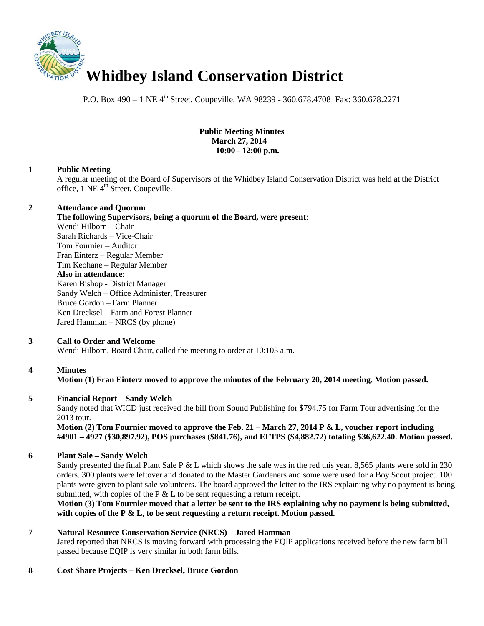

P.O. Box 490 – 1 NE 4<sup>th</sup> Street, Coupeville, WA 98239 - 360.678.4708 Fax: 360.678.2271

\_\_\_\_\_\_\_\_\_\_\_\_\_\_\_\_\_\_\_\_\_\_\_\_\_\_\_\_\_\_\_\_\_\_\_\_\_\_\_\_\_\_\_\_\_\_\_\_\_\_\_\_\_\_\_\_\_\_\_\_\_\_\_\_\_\_\_\_\_\_\_\_\_\_\_\_\_\_

#### **Public Meeting Minutes March 27, 2014 10:00 - 12:00 p.m.**

# **1 Public Meeting**

A regular meeting of the Board of Supervisors of the Whidbey Island Conservation District was held at the District office, 1 NE 4<sup>th</sup> Street, Coupeville.

#### **2 Attendance and Quorum**

#### **The following Supervisors, being a quorum of the Board, were present**:

Wendi Hilborn – Chair Sarah Richards – Vice-Chair Tom Fournier – Auditor Fran Einterz – Regular Member Tim Keohane – Regular Member **Also in attendance**: Karen Bishop - District Manager Sandy Welch – Office Administer, Treasurer Bruce Gordon – Farm Planner Ken Drecksel – Farm and Forest Planner Jared Hamman – NRCS (by phone)

# **3 Call to Order and Welcome**

Wendi Hilborn, Board Chair, called the meeting to order at 10:105 a.m.

# **4 Minutes**

# **Motion (1) Fran Einterz moved to approve the minutes of the February 20, 2014 meeting. Motion passed.**

# **5 Financial Report – Sandy Welch**

Sandy noted that WICD just received the bill from Sound Publishing for \$794.75 for Farm Tour advertising for the 2013 tour.

**Motion (2) Tom Fournier moved to approve the Feb. 21 – March 27, 2014 P & L, voucher report including #4901 – 4927 (\$30,897.92), POS purchases (\$841.76), and EFTPS (\$4,882.72) totaling \$36,622.40. Motion passed.** 

# **6 Plant Sale – Sandy Welch**

Sandy presented the final Plant Sale P  $&L$  which shows the sale was in the red this year. 8,565 plants were sold in 230 orders. 300 plants were leftover and donated to the Master Gardeners and some were used for a Boy Scout project. 100 plants were given to plant sale volunteers. The board approved the letter to the IRS explaining why no payment is being submitted, with copies of the P  $&$  L to be sent requesting a return receipt.

**Motion (3) Tom Fournier moved that a letter be sent to the IRS explaining why no payment is being submitted, with copies of the P & L, to be sent requesting a return receipt. Motion passed.** 

# **7 Natural Resource Conservation Service (NRCS) – Jared Hamman**

Jared reported that NRCS is moving forward with processing the EQIP applications received before the new farm bill passed because EQIP is very similar in both farm bills.

# **8 Cost Share Projects – Ken Drecksel, Bruce Gordon**